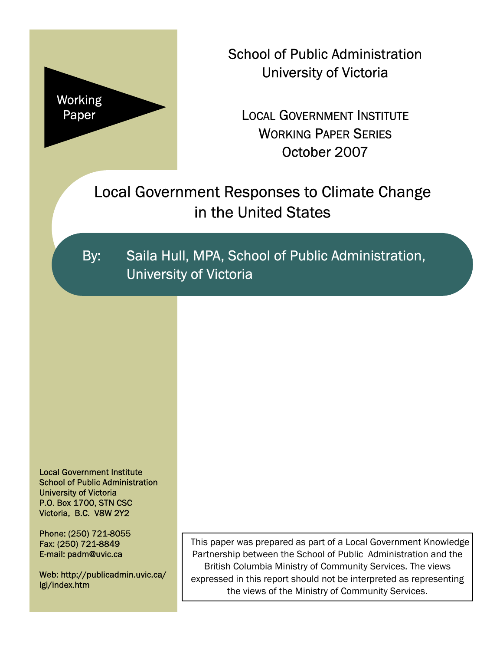

School of Public Administration University of Victoria

LOCAL GOVERNMENT INSTITUTE WORKING PAPER SERIES October 2007

Local Government Responses to Climate Change in the United States

By: Saila Hull, MPA, School of Public Administration, University of Victoria

Local Government Institute School of Public Administration University of Victoria P.O. Box 1700, STN CSC Victoria, B.C. V8W 2Y2

Phone: (250) 721-8055 Fax: (250) 721-8849 E-mail: padm@uvic.ca

Web: http://publicadmin.uvic.ca/ lgi/index.htm

This paper was prepared as part of a Local Government Knowledge Partnership between the School of Public Administration and the British Columbia Ministry of Community Services. The views expressed in this report should not be interpreted as representing the views of the Ministry of Community Services.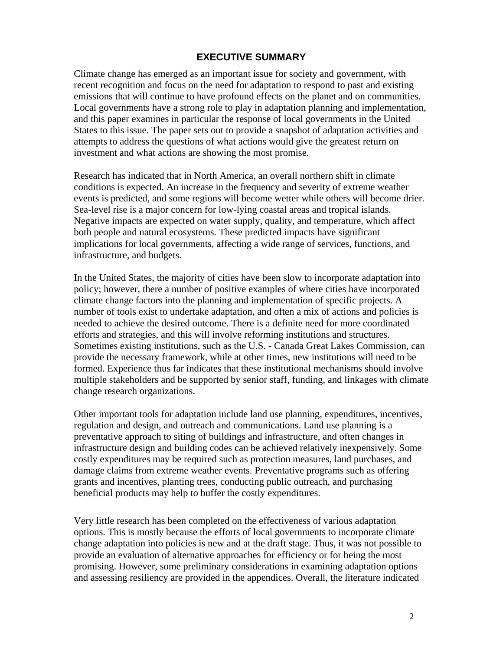#### **EXECUTIVE SUMMARY**

Climate change has emerged as an important issue for society and government, with recent recognition and focus on the need for adaptation to respond to past and existing emissions that will continue to have profound effects on the planet and on communities. Local governments have a strong role to play in adaptation planning and implementation, and this paper examines in particular the response of local governments in the United States to this issue. The paper sets out to provide a snapshot of adaptation activities and attempts to address the questions of what actions would give the greatest return on investment and what actions are showing the most promise.

Research has indicated that in North America, an overall northern shift in climate conditions is expected. An increase in the frequency and severity of extreme weather events is predicted, and some regions will become wetter while others will become drier. Sea-level rise is a major concern for low-lying coastal areas and tropical islands. Negative impacts are expected on water supply, quality, and temperature, which affect both people and natural ecosystems. These predicted impacts have significant implications for local governments, affecting a wide range of services, functions, and infrastructure, and budgets.

In the United States, the majority of cities have been slow to incorporate adaptation into policy; however, there a number of positive examples of where cities have incorporated climate change factors into the planning and implementation of specific projects. A number of tools exist to undertake adaptation, and often a mix of actions and policies is needed to achieve the desired outcome. There is a definite need for more coordinated efforts and strategies, and this will involve reforming institutions and structures. Sometimes existing institutions, such as the U.S. - Canada Great Lakes Commission, can provide the necessary framework, while at other times, new institutions will need to be formed. Experience thus far indicates that these institutional mechanisms should involve multiple stakeholders and be supported by senior staff, funding, and linkages with climate change research organizations.

Other important tools for adaptation include land use planning, expenditures, incentives, regulation and design, and outreach and communications. Land use planning is a preventative approach to siting of buildings and infrastructure, and often changes in infrastructure design and building codes can be achieved relatively inexpensively. Some costly expenditures may be required such as protection measures, land purchases, and damage claims from extreme weather events. Preventative programs such as offering grants and incentives, planting trees, conducting public outreach, and purchasing beneficial products may help to buffer the costly expenditures.

Very little research has been completed on the effectiveness of various adaptation options. This is mostly because the efforts of local governments to incorporate climate change adaptation into policies is new and at the draft stage. Thus, it was not possible to provide an evaluation of alternative approaches for efficiency or for being the most promising. However, some preliminary considerations in examining adaptation options and assessing resiliency are provided in the appendices. Overall, the literature indicated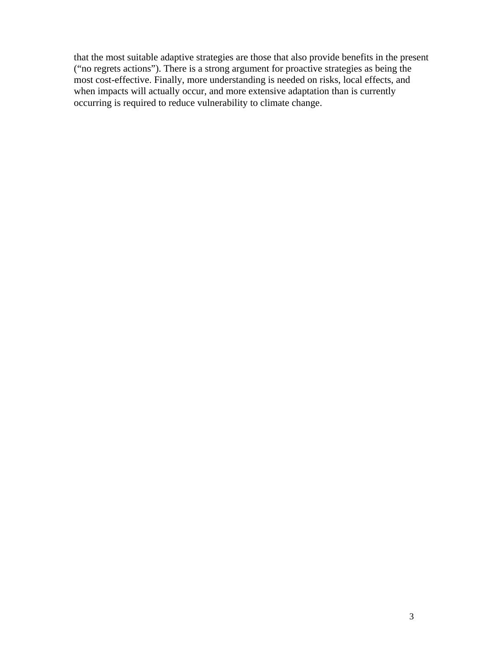that the most suitable adaptive strategies are those that also provide benefits in the present ("no regrets actions"). There is a strong argument for proactive strategies as being the most cost-effective. Finally, more understanding is needed on risks, local effects, and when impacts will actually occur, and more extensive adaptation than is currently occurring is required to reduce vulnerability to climate change.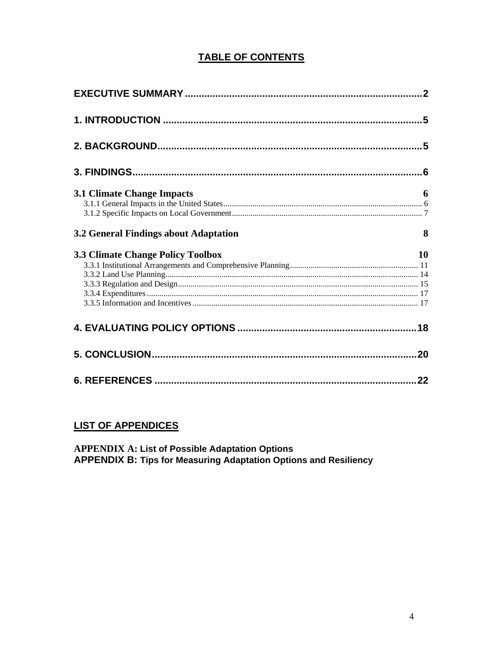# **TABLE OF CONTENTS**

| <b>3.1 Climate Change Impacts</b>        | 6         |
|------------------------------------------|-----------|
| 3.2 General Findings about Adaptation    | 8         |
| <b>3.3 Climate Change Policy Toolbox</b> | <b>10</b> |
|                                          |           |
|                                          |           |
|                                          |           |

# **LIST OF APPENDICES**

**APPENDIX A: List of Possible Adaptation Options<br>APPENDIX B: Tips for Measuring Adaptation Options and Resiliency**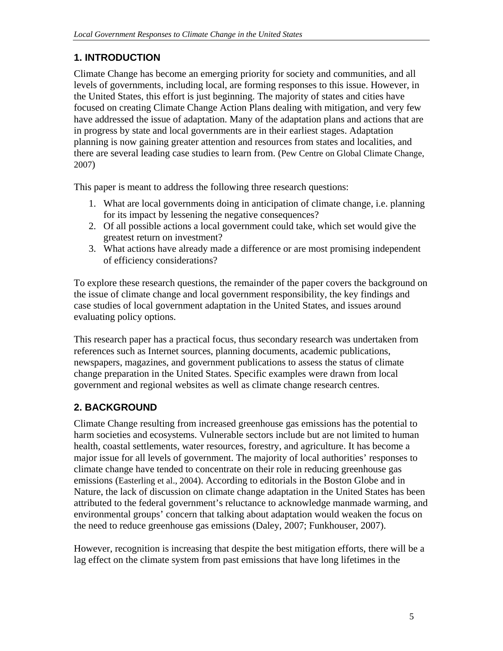# **1. INTRODUCTION**

Climate Change has become an emerging priority for society and communities, and all levels of governments, including local, are forming responses to this issue. However, in the United States, this effort is just beginning. The majority of states and cities have focused on creating Climate Change Action Plans dealing with mitigation, and very few have addressed the issue of adaptation. Many of the adaptation plans and actions that are in progress by state and local governments are in their earliest stages. Adaptation planning is now gaining greater attention and resources from states and localities, and there are several leading case studies to learn from. (Pew Centre on Global Climate Change, 2007)

This paper is meant to address the following three research questions:

- 1. What are local governments doing in anticipation of climate change, i.e. planning for its impact by lessening the negative consequences?
- 2. Of all possible actions a local government could take, which set would give the greatest return on investment?
- 3. What actions have already made a difference or are most promising independent of efficiency considerations?

To explore these research questions, the remainder of the paper covers the background on the issue of climate change and local government responsibility, the key findings and case studies of local government adaptation in the United States, and issues around evaluating policy options.

This research paper has a practical focus, thus secondary research was undertaken from references such as Internet sources, planning documents, academic publications, newspapers, magazines, and government publications to assess the status of climate change preparation in the United States. Specific examples were drawn from local government and regional websites as well as climate change research centres.

# **2. BACKGROUND**

Climate Change resulting from increased greenhouse gas emissions has the potential to harm societies and ecosystems. Vulnerable sectors include but are not limited to human health, coastal settlements, water resources, forestry, and agriculture. It has become a major issue for all levels of government. The majority of local authorities' responses to climate change have tended to concentrate on their role in reducing greenhouse gas emissions (Easterling et al., 2004). According to editorials in the Boston Globe and in Nature, the lack of discussion on climate change adaptation in the United States has been attributed to the federal government's reluctance to acknowledge manmade warming, and environmental groups' concern that talking about adaptation would weaken the focus on the need to reduce greenhouse gas emissions (Daley, 2007; Funkhouser, 2007).

However, recognition is increasing that despite the best mitigation efforts, there will be a lag effect on the climate system from past emissions that have long lifetimes in the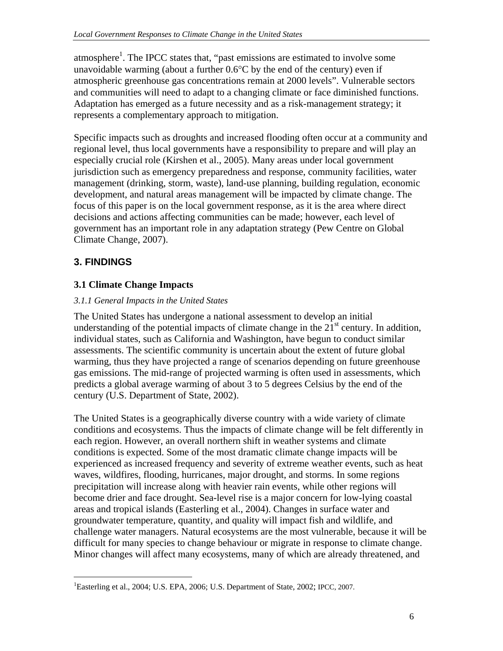atmosphere<sup>1</sup>. The IPCC states that, "past emissions are estimated to involve some unavoidable warming (about a further  $0.6^{\circ}$ C by the end of the century) even if atmospheric greenhouse gas concentrations remain at 2000 levels". Vulnerable sectors and communities will need to adapt to a changing climate or face diminished functions. Adaptation has emerged as a future necessity and as a risk-management strategy; it represents a complementary approach to mitigation.

Specific impacts such as droughts and increased flooding often occur at a community and regional level, thus local governments have a responsibility to prepare and will play an especially crucial role (Kirshen et al., 2005). Many areas under local government jurisdiction such as emergency preparedness and response, community facilities, water management (drinking, storm, waste), land-use planning, building regulation, economic development, and natural areas management will be impacted by climate change. The focus of this paper is on the local government response, as it is the area where direct decisions and actions affecting communities can be made; however, each level of government has an important role in any adaptation strategy (Pew Centre on Global Climate Change, 2007).

# **3. FINDINGS**

<u>.</u>

## **3.1 Climate Change Impacts**

### *3.1.1 General Impacts in the United States*

The United States has undergone a national assessment to develop an initial understanding of the potential impacts of climate change in the  $21<sup>st</sup>$  century. In addition, individual states, such as California and Washington, have begun to conduct similar assessments. The scientific community is uncertain about the extent of future global warming, thus they have projected a range of scenarios depending on future greenhouse gas emissions. The mid-range of projected warming is often used in assessments, which predicts a global average warming of about 3 to 5 degrees Celsius by the end of the century (U.S. Department of State, 2002).

The United States is a geographically diverse country with a wide variety of climate conditions and ecosystems. Thus the impacts of climate change will be felt differently in each region. However, an overall northern shift in weather systems and climate conditions is expected. Some of the most dramatic climate change impacts will be experienced as increased frequency and severity of extreme weather events, such as heat waves, wildfires, flooding, hurricanes, major drought, and storms. In some regions precipitation will increase along with heavier rain events, while other regions will become drier and face drought. Sea-level rise is a major concern for low-lying coastal areas and tropical islands (Easterling et al., 2004). Changes in surface water and groundwater temperature, quantity, and quality will impact fish and wildlife, and challenge water managers. Natural ecosystems are the most vulnerable, because it will be difficult for many species to change behaviour or migrate in response to climate change. Minor changes will affect many ecosystems, many of which are already threatened, and

<sup>&</sup>lt;sup>1</sup>Easterling et al., 2004; U.S. EPA, 2006; U.S. Department of State, 2002; IPCC, 2007.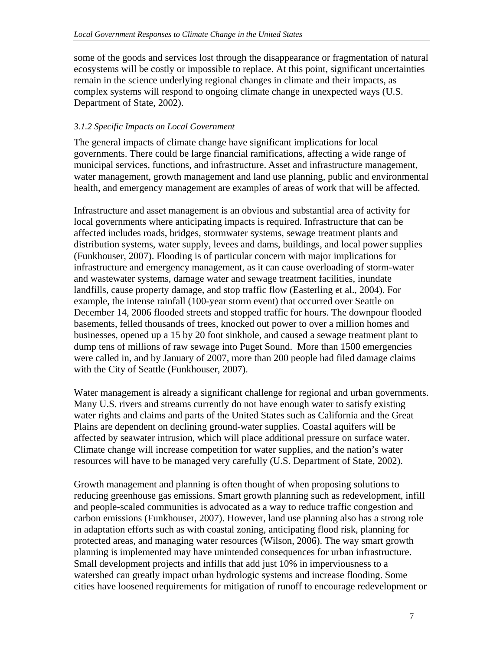some of the goods and services lost through the disappearance or fragmentation of natural ecosystems will be costly or impossible to replace. At this point, significant uncertainties remain in the science underlying regional changes in climate and their impacts, as complex systems will respond to ongoing climate change in unexpected ways (U.S. Department of State, 2002).

#### *3.1.2 Specific Impacts on Local Government*

The general impacts of climate change have significant implications for local governments. There could be large financial ramifications, affecting a wide range of municipal services, functions, and infrastructure. Asset and infrastructure management, water management, growth management and land use planning, public and environmental health, and emergency management are examples of areas of work that will be affected.

Infrastructure and asset management is an obvious and substantial area of activity for local governments where anticipating impacts is required. Infrastructure that can be affected includes roads, bridges, stormwater systems, sewage treatment plants and distribution systems, water supply, levees and dams, buildings, and local power supplies (Funkhouser, 2007). Flooding is of particular concern with major implications for infrastructure and emergency management, as it can cause overloading of storm-water and wastewater systems, damage water and sewage treatment facilities, inundate landfills, cause property damage, and stop traffic flow (Easterling et al., 2004). For example, the intense rainfall (100-year storm event) that occurred over Seattle on December 14, 2006 flooded streets and stopped traffic for hours. The downpour flooded basements, felled thousands of trees, knocked out power to over a million homes and businesses, opened up a 15 by 20 foot sinkhole, and caused a sewage treatment plant to dump tens of millions of raw sewage into Puget Sound. More than 1500 emergencies were called in, and by January of 2007, more than 200 people had filed damage claims with the City of Seattle (Funkhouser, 2007).

Water management is already a significant challenge for regional and urban governments. Many U.S. rivers and streams currently do not have enough water to satisfy existing water rights and claims and parts of the United States such as California and the Great Plains are dependent on declining ground-water supplies. Coastal aquifers will be affected by seawater intrusion, which will place additional pressure on surface water. Climate change will increase competition for water supplies, and the nation's water resources will have to be managed very carefully (U.S. Department of State, 2002).

Growth management and planning is often thought of when proposing solutions to reducing greenhouse gas emissions. Smart growth planning such as redevelopment, infill and people-scaled communities is advocated as a way to reduce traffic congestion and carbon emissions (Funkhouser, 2007). However, land use planning also has a strong role in adaptation efforts such as with coastal zoning, anticipating flood risk, planning for protected areas, and managing water resources (Wilson, 2006). The way smart growth planning is implemented may have unintended consequences for urban infrastructure. Small development projects and infills that add just 10% in imperviousness to a watershed can greatly impact urban hydrologic systems and increase flooding. Some cities have loosened requirements for mitigation of runoff to encourage redevelopment or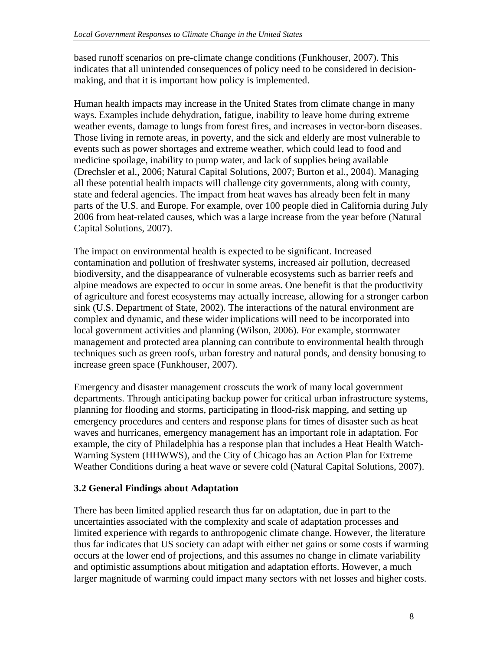based runoff scenarios on pre-climate change conditions (Funkhouser, 2007). This indicates that all unintended consequences of policy need to be considered in decisionmaking, and that it is important how policy is implemented.

Human health impacts may increase in the United States from climate change in many ways. Examples include dehydration, fatigue, inability to leave home during extreme weather events, damage to lungs from forest fires, and increases in vector-born diseases. Those living in remote areas, in poverty, and the sick and elderly are most vulnerable to events such as power shortages and extreme weather, which could lead to food and medicine spoilage, inability to pump water, and lack of supplies being available (Drechsler et al., 2006; Natural Capital Solutions, 2007; Burton et al., 2004). Managing all these potential health impacts will challenge city governments, along with county, state and federal agencies. The impact from heat waves has already been felt in many parts of the U.S. and Europe. For example, over 100 people died in California during July 2006 from heat-related causes, which was a large increase from the year before (Natural Capital Solutions, 2007).

The impact on environmental health is expected to be significant. Increased contamination and pollution of freshwater systems, increased air pollution, decreased biodiversity, and the disappearance of vulnerable ecosystems such as barrier reefs and alpine meadows are expected to occur in some areas. One benefit is that the productivity of agriculture and forest ecosystems may actually increase, allowing for a stronger carbon sink (U.S. Department of State, 2002). The interactions of the natural environment are complex and dynamic, and these wider implications will need to be incorporated into local government activities and planning (Wilson, 2006). For example, stormwater management and protected area planning can contribute to environmental health through techniques such as green roofs, urban forestry and natural ponds, and density bonusing to increase green space (Funkhouser, 2007).

Emergency and disaster management crosscuts the work of many local government departments. Through anticipating backup power for critical urban infrastructure systems, planning for flooding and storms, participating in flood-risk mapping, and setting up emergency procedures and centers and response plans for times of disaster such as heat waves and hurricanes, emergency management has an important role in adaptation. For example, the city of Philadelphia has a response plan that includes a Heat Health Watch-Warning System (HHWWS), and the City of Chicago has an Action Plan for Extreme Weather Conditions during a heat wave or severe cold (Natural Capital Solutions, 2007).

## **3.2 General Findings about Adaptation**

There has been limited applied research thus far on adaptation, due in part to the uncertainties associated with the complexity and scale of adaptation processes and limited experience with regards to anthropogenic climate change. However, the literature thus far indicates that US society can adapt with either net gains or some costs if warming occurs at the lower end of projections, and this assumes no change in climate variability and optimistic assumptions about mitigation and adaptation efforts. However, a much larger magnitude of warming could impact many sectors with net losses and higher costs.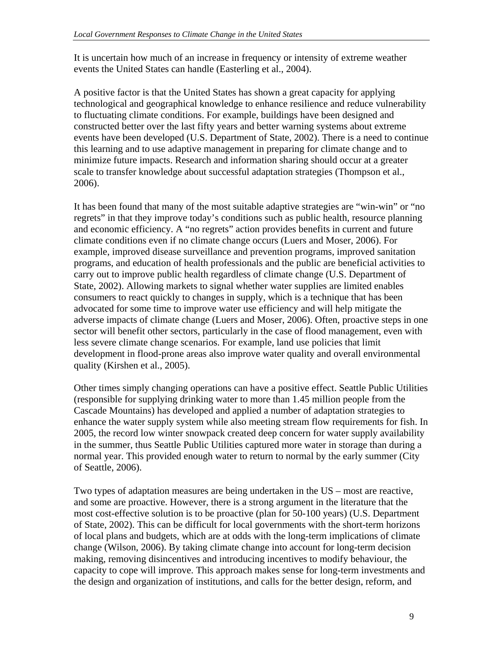It is uncertain how much of an increase in frequency or intensity of extreme weather events the United States can handle (Easterling et al., 2004).

A positive factor is that the United States has shown a great capacity for applying technological and geographical knowledge to enhance resilience and reduce vulnerability to fluctuating climate conditions. For example, buildings have been designed and constructed better over the last fifty years and better warning systems about extreme events have been developed (U.S. Department of State, 2002). There is a need to continue this learning and to use adaptive management in preparing for climate change and to minimize future impacts. Research and information sharing should occur at a greater scale to transfer knowledge about successful adaptation strategies (Thompson et al., 2006).

It has been found that many of the most suitable adaptive strategies are "win-win" or "no regrets" in that they improve today's conditions such as public health, resource planning and economic efficiency. A "no regrets" action provides benefits in current and future climate conditions even if no climate change occurs (Luers and Moser, 2006). For example, improved disease surveillance and prevention programs, improved sanitation programs, and education of health professionals and the public are beneficial activities to carry out to improve public health regardless of climate change (U.S. Department of State, 2002). Allowing markets to signal whether water supplies are limited enables consumers to react quickly to changes in supply, which is a technique that has been advocated for some time to improve water use efficiency and will help mitigate the adverse impacts of climate change (Luers and Moser, 2006). Often, proactive steps in one sector will benefit other sectors, particularly in the case of flood management, even with less severe climate change scenarios. For example, land use policies that limit development in flood-prone areas also improve water quality and overall environmental quality (Kirshen et al., 2005).

Other times simply changing operations can have a positive effect. Seattle Public Utilities (responsible for supplying drinking water to more than 1.45 million people from the Cascade Mountains) has developed and applied a number of adaptation strategies to enhance the water supply system while also meeting stream flow requirements for fish. In 2005, the record low winter snowpack created deep concern for water supply availability in the summer, thus Seattle Public Utilities captured more water in storage than during a normal year. This provided enough water to return to normal by the early summer (City of Seattle, 2006).

Two types of adaptation measures are being undertaken in the US – most are reactive, and some are proactive. However, there is a strong argument in the literature that the most cost-effective solution is to be proactive (plan for 50-100 years) (U.S. Department of State, 2002). This can be difficult for local governments with the short-term horizons of local plans and budgets, which are at odds with the long-term implications of climate change (Wilson, 2006). By taking climate change into account for long-term decision making, removing disincentives and introducing incentives to modify behaviour, the capacity to cope will improve. This approach makes sense for long-term investments and the design and organization of institutions, and calls for the better design, reform, and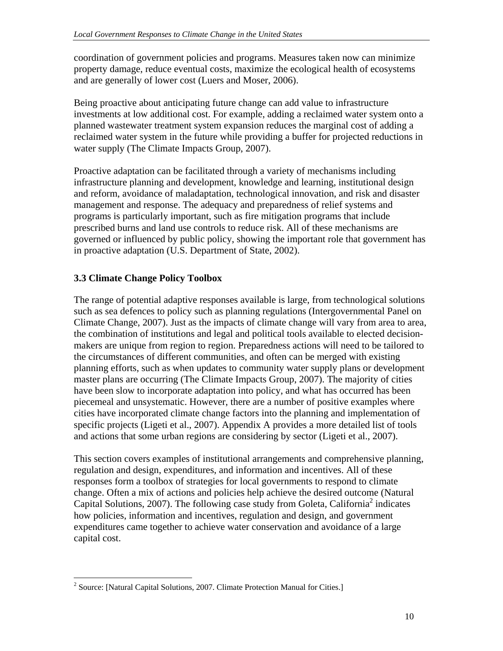coordination of government policies and programs. Measures taken now can minimize property damage, reduce eventual costs, maximize the ecological health of ecosystems and are generally of lower cost (Luers and Moser, 2006).

Being proactive about anticipating future change can add value to infrastructure investments at low additional cost. For example, adding a reclaimed water system onto a planned wastewater treatment system expansion reduces the marginal cost of adding a reclaimed water system in the future while providing a buffer for projected reductions in water supply (The Climate Impacts Group, 2007).

Proactive adaptation can be facilitated through a variety of mechanisms including infrastructure planning and development, knowledge and learning, institutional design and reform, avoidance of maladaptation, technological innovation, and risk and disaster management and response. The adequacy and preparedness of relief systems and programs is particularly important, such as fire mitigation programs that include prescribed burns and land use controls to reduce risk. All of these mechanisms are governed or influenced by public policy, showing the important role that government has in proactive adaptation (U.S. Department of State, 2002).

## **3.3 Climate Change Policy Toolbox**

 $\overline{a}$ 

The range of potential adaptive responses available is large, from technological solutions such as sea defences to policy such as planning regulations (Intergovernmental Panel on Climate Change, 2007). Just as the impacts of climate change will vary from area to area, the combination of institutions and legal and political tools available to elected decisionmakers are unique from region to region. Preparedness actions will need to be tailored to the circumstances of different communities, and often can be merged with existing planning efforts, such as when updates to community water supply plans or development master plans are occurring (The Climate Impacts Group, 2007). The majority of cities have been slow to incorporate adaptation into policy, and what has occurred has been piecemeal and unsystematic. However, there are a number of positive examples where cities have incorporated climate change factors into the planning and implementation of specific projects (Ligeti et al., 2007). Appendix A provides a more detailed list of tools and actions that some urban regions are considering by sector (Ligeti et al., 2007).

This section covers examples of institutional arrangements and comprehensive planning, regulation and design, expenditures, and information and incentives. All of these responses form a toolbox of strategies for local governments to respond to climate change. Often a mix of actions and policies help achieve the desired outcome (Natural Capital Solutions, 2007). The following case study from Goleta, California<sup>2</sup> indicates how policies, information and incentives, regulation and design, and government expenditures came together to achieve water conservation and avoidance of a large capital cost.

<sup>&</sup>lt;sup>2</sup> Source: [Natural Capital Solutions, 2007. Climate Protection Manual for Cities.]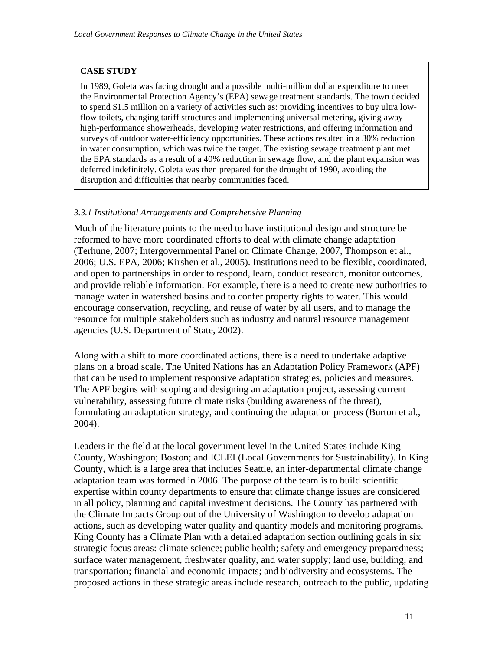### **CASE STUDY**

In 1989, Goleta was facing drought and a possible multi-million dollar expenditure to meet the Environmental Protection Agency's (EPA) sewage treatment standards. The town decided to spend \$1.5 million on a variety of activities such as: providing incentives to buy ultra lowflow toilets, changing tariff structures and implementing universal metering, giving away high-performance showerheads, developing water restrictions, and offering information and surveys of outdoor water-efficiency opportunities. These actions resulted in a 30% reduction in water consumption, which was twice the target. The existing sewage treatment plant met the EPA standards as a result of a 40% reduction in sewage flow, and the plant expansion was deferred indefinitely. Goleta was then prepared for the drought of 1990, avoiding the disruption and difficulties that nearby communities faced.

#### *3.3.1 Institutional Arrangements and Comprehensive Planning*

Much of the literature points to the need to have institutional design and structure be reformed to have more coordinated efforts to deal with climate change adaptation (Terhune, 2007; Intergovernmental Panel on Climate Change, 2007, Thompson et al., 2006; U.S. EPA, 2006; Kirshen et al., 2005). Institutions need to be flexible, coordinated, and open to partnerships in order to respond, learn, conduct research, monitor outcomes, and provide reliable information. For example, there is a need to create new authorities to manage water in watershed basins and to confer property rights to water. This would encourage conservation, recycling, and reuse of water by all users, and to manage the resource for multiple stakeholders such as industry and natural resource management agencies (U.S. Department of State, 2002).

Along with a shift to more coordinated actions, there is a need to undertake adaptive plans on a broad scale. The United Nations has an Adaptation Policy Framework (APF) that can be used to implement responsive adaptation strategies, policies and measures. The APF begins with scoping and designing an adaptation project, assessing current vulnerability, assessing future climate risks (building awareness of the threat), formulating an adaptation strategy, and continuing the adaptation process (Burton et al., 2004).

Leaders in the field at the local government level in the United States include King County, Washington; Boston; and ICLEI (Local Governments for Sustainability). In King County, which is a large area that includes Seattle, an inter-departmental climate change adaptation team was formed in 2006. The purpose of the team is to build scientific expertise within county departments to ensure that climate change issues are considered in all policy, planning and capital investment decisions. The County has partnered with the Climate Impacts Group out of the University of Washington to develop adaptation actions, such as developing water quality and quantity models and monitoring programs. King County has a Climate Plan with a detailed adaptation section outlining goals in six strategic focus areas: climate science; public health; safety and emergency preparedness; surface water management, freshwater quality, and water supply; land use, building, and transportation; financial and economic impacts; and biodiversity and ecosystems. The proposed actions in these strategic areas include research, outreach to the public, updating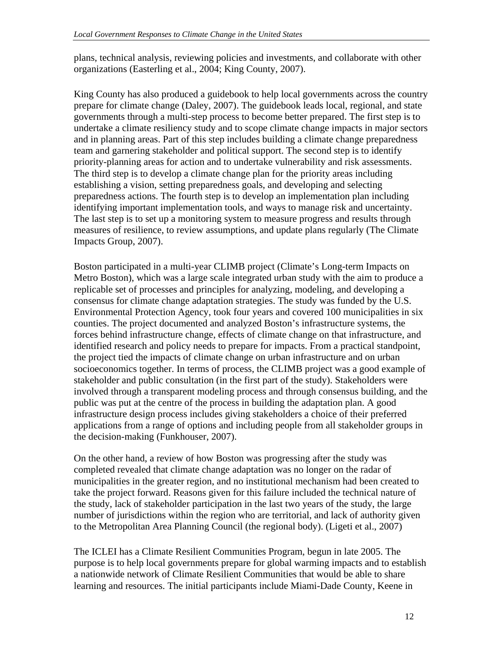plans, technical analysis, reviewing policies and investments, and collaborate with other organizations (Easterling et al., 2004; King County, 2007).

King County has also produced a guidebook to help local governments across the country prepare for climate change (Daley, 2007). The guidebook leads local, regional, and state governments through a multi-step process to become better prepared. The first step is to undertake a climate resiliency study and to scope climate change impacts in major sectors and in planning areas. Part of this step includes building a climate change preparedness team and garnering stakeholder and political support. The second step is to identify priority-planning areas for action and to undertake vulnerability and risk assessments. The third step is to develop a climate change plan for the priority areas including establishing a vision, setting preparedness goals, and developing and selecting preparedness actions. The fourth step is to develop an implementation plan including identifying important implementation tools, and ways to manage risk and uncertainty. The last step is to set up a monitoring system to measure progress and results through measures of resilience, to review assumptions, and update plans regularly (The Climate Impacts Group, 2007).

Boston participated in a multi-year CLIMB project (Climate's Long-term Impacts on Metro Boston), which was a large scale integrated urban study with the aim to produce a replicable set of processes and principles for analyzing, modeling, and developing a consensus for climate change adaptation strategies. The study was funded by the U.S. Environmental Protection Agency, took four years and covered 100 municipalities in six counties. The project documented and analyzed Boston's infrastructure systems, the forces behind infrastructure change, effects of climate change on that infrastructure, and identified research and policy needs to prepare for impacts. From a practical standpoint, the project tied the impacts of climate change on urban infrastructure and on urban socioeconomics together. In terms of process, the CLIMB project was a good example of stakeholder and public consultation (in the first part of the study). Stakeholders were involved through a transparent modeling process and through consensus building, and the public was put at the centre of the process in building the adaptation plan. A good infrastructure design process includes giving stakeholders a choice of their preferred applications from a range of options and including people from all stakeholder groups in the decision-making (Funkhouser, 2007).

On the other hand, a review of how Boston was progressing after the study was completed revealed that climate change adaptation was no longer on the radar of municipalities in the greater region, and no institutional mechanism had been created to take the project forward. Reasons given for this failure included the technical nature of the study, lack of stakeholder participation in the last two years of the study, the large number of jurisdictions within the region who are territorial, and lack of authority given to the Metropolitan Area Planning Council (the regional body). (Ligeti et al., 2007)

The ICLEI has a Climate Resilient Communities Program, begun in late 2005. The purpose is to help local governments prepare for global warming impacts and to establish a nationwide network of Climate Resilient Communities that would be able to share learning and resources. The initial participants include Miami-Dade County, Keene in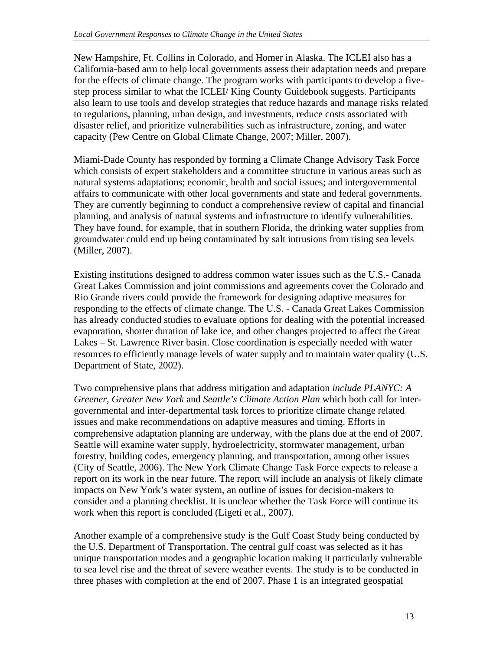New Hampshire, Ft. Collins in Colorado, and Homer in Alaska. The ICLEI also has a California-based arm to help local governments assess their adaptation needs and prepare for the effects of climate change. The program works with participants to develop a fivestep process similar to what the ICLEI/ King County Guidebook suggests. Participants also learn to use tools and develop strategies that reduce hazards and manage risks related to regulations, planning, urban design, and investments, reduce costs associated with disaster relief, and prioritize vulnerabilities such as infrastructure, zoning, and water capacity (Pew Centre on Global Climate Change, 2007; Miller, 2007).

Miami-Dade County has responded by forming a Climate Change Advisory Task Force which consists of expert stakeholders and a committee structure in various areas such as natural systems adaptations; economic, health and social issues; and intergovernmental affairs to communicate with other local governments and state and federal governments. They are currently beginning to conduct a comprehensive review of capital and financial planning, and analysis of natural systems and infrastructure to identify vulnerabilities. They have found, for example, that in southern Florida, the drinking water supplies from groundwater could end up being contaminated by salt intrusions from rising sea levels (Miller, 2007).

Existing institutions designed to address common water issues such as the U.S.- Canada Great Lakes Commission and joint commissions and agreements cover the Colorado and Rio Grande rivers could provide the framework for designing adaptive measures for responding to the effects of climate change. The U.S. - Canada Great Lakes Commission has already conducted studies to evaluate options for dealing with the potential increased evaporation, shorter duration of lake ice, and other changes projected to affect the Great Lakes – St. Lawrence River basin. Close coordination is especially needed with water resources to efficiently manage levels of water supply and to maintain water quality (U.S. Department of State, 2002).

Two comprehensive plans that address mitigation and adaptation *include PLANYC: A Greener, Greater New York* and *Seattle's Climate Action Plan* which both call for intergovernmental and inter-departmental task forces to prioritize climate change related issues and make recommendations on adaptive measures and timing. Efforts in comprehensive adaptation planning are underway, with the plans due at the end of 2007. Seattle will examine water supply, hydroelectricity, stormwater management, urban forestry, building codes, emergency planning, and transportation, among other issues (City of Seattle, 2006). The New York Climate Change Task Force expects to release a report on its work in the near future. The report will include an analysis of likely climate impacts on New York's water system, an outline of issues for decision-makers to consider and a planning checklist. It is unclear whether the Task Force will continue its work when this report is concluded (Ligeti et al., 2007).

Another example of a comprehensive study is the Gulf Coast Study being conducted by the U.S. Department of Transportation. The central gulf coast was selected as it has unique transportation modes and a geographic location making it particularly vulnerable to sea level rise and the threat of severe weather events. The study is to be conducted in three phases with completion at the end of 2007. Phase 1 is an integrated geospatial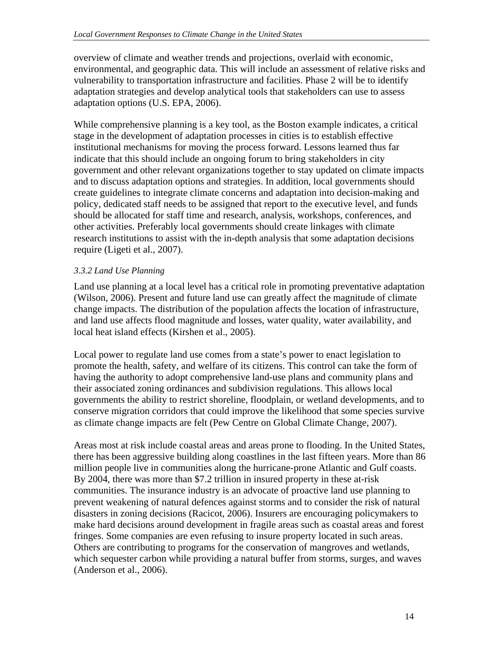overview of climate and weather trends and projections, overlaid with economic, environmental, and geographic data. This will include an assessment of relative risks and vulnerability to transportation infrastructure and facilities. Phase 2 will be to identify adaptation strategies and develop analytical tools that stakeholders can use to assess adaptation options (U.S. EPA, 2006).

While comprehensive planning is a key tool, as the Boston example indicates, a critical stage in the development of adaptation processes in cities is to establish effective institutional mechanisms for moving the process forward. Lessons learned thus far indicate that this should include an ongoing forum to bring stakeholders in city government and other relevant organizations together to stay updated on climate impacts and to discuss adaptation options and strategies. In addition, local governments should create guidelines to integrate climate concerns and adaptation into decision-making and policy, dedicated staff needs to be assigned that report to the executive level, and funds should be allocated for staff time and research, analysis, workshops, conferences, and other activities. Preferably local governments should create linkages with climate research institutions to assist with the in-depth analysis that some adaptation decisions require (Ligeti et al., 2007).

### *3.3.2 Land Use Planning*

Land use planning at a local level has a critical role in promoting preventative adaptation (Wilson, 2006). Present and future land use can greatly affect the magnitude of climate change impacts. The distribution of the population affects the location of infrastructure, and land use affects flood magnitude and losses, water quality, water availability, and local heat island effects (Kirshen et al., 2005).

Local power to regulate land use comes from a state's power to enact legislation to promote the health, safety, and welfare of its citizens. This control can take the form of having the authority to adopt comprehensive land-use plans and community plans and their associated zoning ordinances and subdivision regulations. This allows local governments the ability to restrict shoreline, floodplain, or wetland developments, and to conserve migration corridors that could improve the likelihood that some species survive as climate change impacts are felt (Pew Centre on Global Climate Change, 2007).

Areas most at risk include coastal areas and areas prone to flooding. In the United States, there has been aggressive building along coastlines in the last fifteen years. More than 86 million people live in communities along the hurricane-prone Atlantic and Gulf coasts. By 2004, there was more than \$7.2 trillion in insured property in these at-risk communities. The insurance industry is an advocate of proactive land use planning to prevent weakening of natural defences against storms and to consider the risk of natural disasters in zoning decisions (Racicot, 2006). Insurers are encouraging policymakers to make hard decisions around development in fragile areas such as coastal areas and forest fringes. Some companies are even refusing to insure property located in such areas. Others are contributing to programs for the conservation of mangroves and wetlands, which sequester carbon while providing a natural buffer from storms, surges, and waves (Anderson et al., 2006).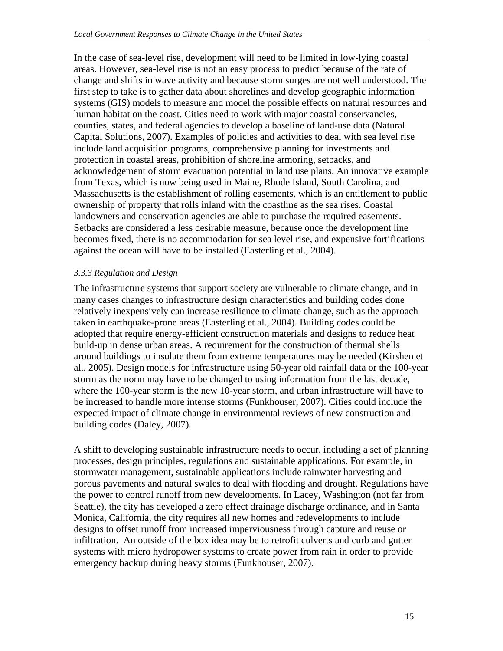In the case of sea-level rise, development will need to be limited in low-lying coastal areas. However, sea-level rise is not an easy process to predict because of the rate of change and shifts in wave activity and because storm surges are not well understood. The first step to take is to gather data about shorelines and develop geographic information systems (GIS) models to measure and model the possible effects on natural resources and human habitat on the coast. Cities need to work with major coastal conservancies, counties, states, and federal agencies to develop a baseline of land-use data (Natural Capital Solutions, 2007). Examples of policies and activities to deal with sea level rise include land acquisition programs, comprehensive planning for investments and protection in coastal areas, prohibition of shoreline armoring, setbacks, and acknowledgement of storm evacuation potential in land use plans. An innovative example from Texas, which is now being used in Maine, Rhode Island, South Carolina, and Massachusetts is the establishment of rolling easements, which is an entitlement to public ownership of property that rolls inland with the coastline as the sea rises. Coastal landowners and conservation agencies are able to purchase the required easements. Setbacks are considered a less desirable measure, because once the development line becomes fixed, there is no accommodation for sea level rise, and expensive fortifications against the ocean will have to be installed (Easterling et al., 2004).

#### *3.3.3 Regulation and Design*

The infrastructure systems that support society are vulnerable to climate change, and in many cases changes to infrastructure design characteristics and building codes done relatively inexpensively can increase resilience to climate change, such as the approach taken in earthquake-prone areas (Easterling et al., 2004). Building codes could be adopted that require energy-efficient construction materials and designs to reduce heat build-up in dense urban areas. A requirement for the construction of thermal shells around buildings to insulate them from extreme temperatures may be needed (Kirshen et al., 2005). Design models for infrastructure using 50-year old rainfall data or the 100-year storm as the norm may have to be changed to using information from the last decade, where the 100-year storm is the new 10-year storm, and urban infrastructure will have to be increased to handle more intense storms (Funkhouser, 2007). Cities could include the expected impact of climate change in environmental reviews of new construction and building codes (Daley, 2007).

A shift to developing sustainable infrastructure needs to occur, including a set of planning processes, design principles, regulations and sustainable applications. For example, in stormwater management, sustainable applications include rainwater harvesting and porous pavements and natural swales to deal with flooding and drought. Regulations have the power to control runoff from new developments. In Lacey, Washington (not far from Seattle), the city has developed a zero effect drainage discharge ordinance, and in Santa Monica, California, the city requires all new homes and redevelopments to include designs to offset runoff from increased imperviousness through capture and reuse or infiltration. An outside of the box idea may be to retrofit culverts and curb and gutter systems with micro hydropower systems to create power from rain in order to provide emergency backup during heavy storms (Funkhouser, 2007).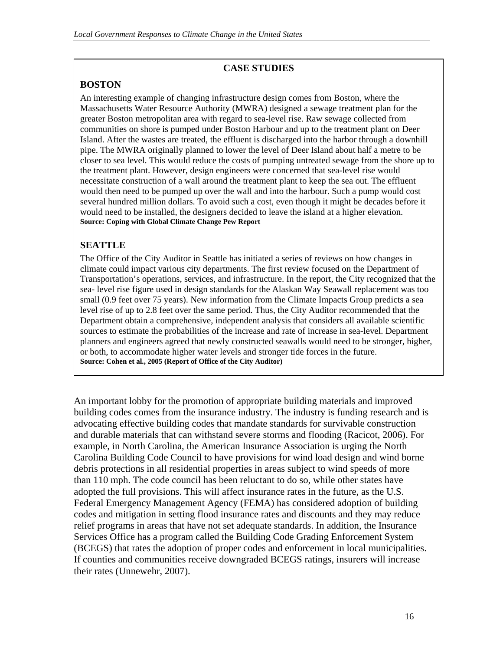# **CASE STUDIES**

# **BOSTON**

An interesting example of changing infrastructure design comes from Boston, where the Massachusetts Water Resource Authority (MWRA) designed a sewage treatment plan for the greater Boston metropolitan area with regard to sea-level rise. Raw sewage collected from communities on shore is pumped under Boston Harbour and up to the treatment plant on Deer Island. After the wastes are treated, the effluent is discharged into the harbor through a downhill pipe. The MWRA originally planned to lower the level of Deer Island about half a metre to be closer to sea level. This would reduce the costs of pumping untreated sewage from the shore up to the treatment plant. However, design engineers were concerned that sea-level rise would necessitate construction of a wall around the treatment plant to keep the sea out. The effluent would then need to be pumped up over the wall and into the harbour. Such a pump would cost several hundred million dollars. To avoid such a cost, even though it might be decades before it would need to be installed, the designers decided to leave the island at a higher elevation. **Source: Coping with Global Climate Change Pew Report** 

# **SEATTLE**

The Office of the City Auditor in Seattle has initiated a series of reviews on how changes in climate could impact various city departments. The first review focused on the Department of Transportation's operations, services, and infrastructure. In the report, the City recognized that the sea- level rise figure used in design standards for the Alaskan Way Seawall replacement was too small (0.9 feet over 75 years). New information from the Climate Impacts Group predicts a sea level rise of up to 2.8 feet over the same period. Thus, the City Auditor recommended that the Department obtain a comprehensive, independent analysis that considers all available scientific sources to estimate the probabilities of the increase and rate of increase in sea-level. Department planners and engineers agreed that newly constructed seawalls would need to be stronger, higher, or both, to accommodate higher water levels and stronger tide forces in the future. **Source: Cohen et al., 2005 (Report of Office of the City Auditor)** 

An important lobby for the promotion of appropriate building materials and improved building codes comes from the insurance industry. The industry is funding research and is advocating effective building codes that mandate standards for survivable construction and durable materials that can withstand severe storms and flooding (Racicot, 2006). For example, in North Carolina, the American Insurance Association is urging the North Carolina Building Code Council to have provisions for wind load design and wind borne debris protections in all residential properties in areas subject to wind speeds of more than 110 mph. The code council has been reluctant to do so, while other states have adopted the full provisions. This will affect insurance rates in the future, as the U.S. Federal Emergency Management Agency (FEMA) has considered adoption of building codes and mitigation in setting flood insurance rates and discounts and they may reduce relief programs in areas that have not set adequate standards. In addition, the Insurance Services Office has a program called the Building Code Grading Enforcement System (BCEGS) that rates the adoption of proper codes and enforcement in local municipalities. If counties and communities receive downgraded BCEGS ratings, insurers will increase their rates (Unnewehr, 2007).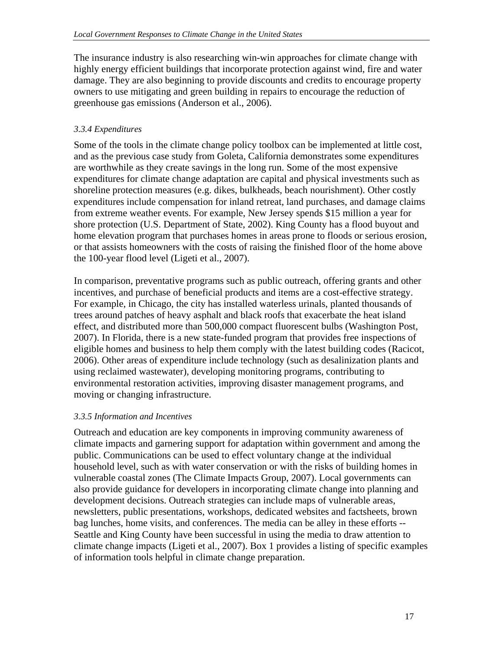The insurance industry is also researching win-win approaches for climate change with highly energy efficient buildings that incorporate protection against wind, fire and water damage. They are also beginning to provide discounts and credits to encourage property owners to use mitigating and green building in repairs to encourage the reduction of greenhouse gas emissions (Anderson et al., 2006).

### *3.3.4 Expenditures*

Some of the tools in the climate change policy toolbox can be implemented at little cost, and as the previous case study from Goleta, California demonstrates some expenditures are worthwhile as they create savings in the long run. Some of the most expensive expenditures for climate change adaptation are capital and physical investments such as shoreline protection measures (e.g. dikes, bulkheads, beach nourishment). Other costly expenditures include compensation for inland retreat, land purchases, and damage claims from extreme weather events. For example, New Jersey spends \$15 million a year for shore protection (U.S. Department of State, 2002). King County has a flood buyout and home elevation program that purchases homes in areas prone to floods or serious erosion, or that assists homeowners with the costs of raising the finished floor of the home above the 100-year flood level (Ligeti et al., 2007).

In comparison, preventative programs such as public outreach, offering grants and other incentives, and purchase of beneficial products and items are a cost-effective strategy. For example, in Chicago, the city has installed waterless urinals, planted thousands of trees around patches of heavy asphalt and black roofs that exacerbate the heat island effect, and distributed more than 500,000 compact fluorescent bulbs (Washington Post, 2007). In Florida, there is a new state-funded program that provides free inspections of eligible homes and business to help them comply with the latest building codes (Racicot, 2006). Other areas of expenditure include technology (such as desalinization plants and using reclaimed wastewater), developing monitoring programs, contributing to environmental restoration activities, improving disaster management programs, and moving or changing infrastructure.

### *3.3.5 Information and Incentives*

Outreach and education are key components in improving community awareness of climate impacts and garnering support for adaptation within government and among the public. Communications can be used to effect voluntary change at the individual household level, such as with water conservation or with the risks of building homes in vulnerable coastal zones (The Climate Impacts Group, 2007). Local governments can also provide guidance for developers in incorporating climate change into planning and development decisions. Outreach strategies can include maps of vulnerable areas, newsletters, public presentations, workshops, dedicated websites and factsheets, brown bag lunches, home visits, and conferences. The media can be alley in these efforts -- Seattle and King County have been successful in using the media to draw attention to climate change impacts (Ligeti et al., 2007). Box 1 provides a listing of specific examples of information tools helpful in climate change preparation.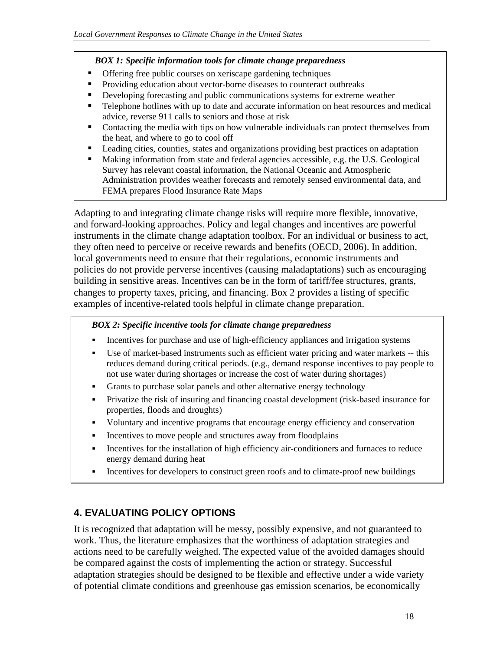#### *BOX 1: Specific information tools for climate change preparedness*

- **•** Offering free public courses on xeriscape gardening techniques
- **Providing education about vector-borne diseases to counteract outbreaks**
- Developing forecasting and public communications systems for extreme weather
- Telephone hotlines with up to date and accurate information on heat resources and medical advice, reverse 911 calls to seniors and those at risk
- Contacting the media with tips on how vulnerable individuals can protect themselves from the heat, and where to go to cool off
- Leading cities, counties, states and organizations providing best practices on adaptation
- Making information from state and federal agencies accessible, e.g. the U.S. Geological Survey has relevant coastal information, the National Oceanic and Atmospheric Administration provides weather forecasts and remotely sensed environmental data, and FEMA prepares Flood Insurance Rate Maps

Adapting to and integrating climate change risks will require more flexible, innovative, and forward-looking approaches. Policy and legal changes and incentives are powerful instruments in the climate change adaptation toolbox. For an individual or business to act, they often need to perceive or receive rewards and benefits (OECD, 2006). In addition, local governments need to ensure that their regulations, economic instruments and policies do not provide perverse incentives (causing maladaptations) such as encouraging building in sensitive areas. Incentives can be in the form of tariff/fee structures, grants, changes to property taxes, pricing, and financing. Box 2 provides a listing of specific examples of incentive-related tools helpful in climate change preparation.

#### *BOX 2: Specific incentive tools for climate change preparedness*

- Incentives for purchase and use of high-efficiency appliances and irrigation systems
- Use of market-based instruments such as efficient water pricing and water markets -- this reduces demand during critical periods. (e.g., demand response incentives to pay people to not use water during shortages or increase the cost of water during shortages)
- Grants to purchase solar panels and other alternative energy technology
- Privatize the risk of insuring and financing coastal development (risk-based insurance for properties, floods and droughts)
- Voluntary and incentive programs that encourage energy efficiency and conservation
- Incentives to move people and structures away from floodplains
- Incentives for the installation of high efficiency air-conditioners and furnaces to reduce energy demand during heat
- Incentives for developers to construct green roofs and to climate-proof new buildings

## **4. EVALUATING POLICY OPTIONS**

It is recognized that adaptation will be messy, possibly expensive, and not guaranteed to work. Thus, the literature emphasizes that the worthiness of adaptation strategies and actions need to be carefully weighed. The expected value of the avoided damages should be compared against the costs of implementing the action or strategy. Successful adaptation strategies should be designed to be flexible and effective under a wide variety of potential climate conditions and greenhouse gas emission scenarios, be economically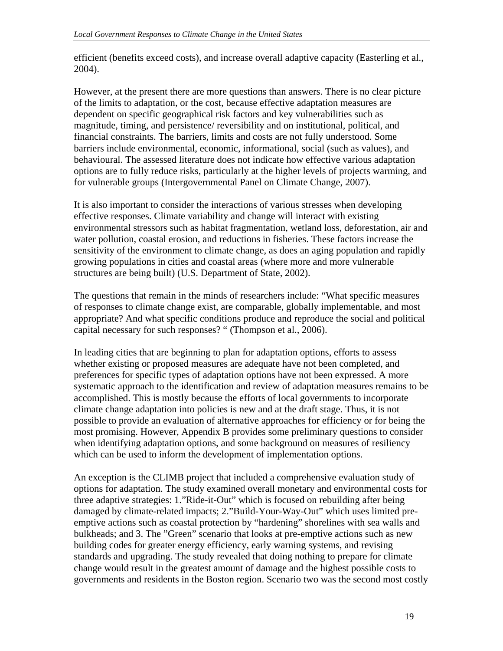efficient (benefits exceed costs), and increase overall adaptive capacity (Easterling et al., 2004).

However, at the present there are more questions than answers. There is no clear picture of the limits to adaptation, or the cost, because effective adaptation measures are dependent on specific geographical risk factors and key vulnerabilities such as magnitude, timing, and persistence/ reversibility and on institutional, political, and financial constraints. The barriers, limits and costs are not fully understood. Some barriers include environmental, economic, informational, social (such as values), and behavioural. The assessed literature does not indicate how effective various adaptation options are to fully reduce risks, particularly at the higher levels of projects warming, and for vulnerable groups (Intergovernmental Panel on Climate Change, 2007).

It is also important to consider the interactions of various stresses when developing effective responses. Climate variability and change will interact with existing environmental stressors such as habitat fragmentation, wetland loss, deforestation, air and water pollution, coastal erosion, and reductions in fisheries. These factors increase the sensitivity of the environment to climate change, as does an aging population and rapidly growing populations in cities and coastal areas (where more and more vulnerable structures are being built) (U.S. Department of State, 2002).

The questions that remain in the minds of researchers include: "What specific measures of responses to climate change exist, are comparable, globally implementable, and most appropriate? And what specific conditions produce and reproduce the social and political capital necessary for such responses? " (Thompson et al., 2006).

In leading cities that are beginning to plan for adaptation options, efforts to assess whether existing or proposed measures are adequate have not been completed, and preferences for specific types of adaptation options have not been expressed. A more systematic approach to the identification and review of adaptation measures remains to be accomplished. This is mostly because the efforts of local governments to incorporate climate change adaptation into policies is new and at the draft stage. Thus, it is not possible to provide an evaluation of alternative approaches for efficiency or for being the most promising. However, Appendix B provides some preliminary questions to consider when identifying adaptation options, and some background on measures of resiliency which can be used to inform the development of implementation options.

An exception is the CLIMB project that included a comprehensive evaluation study of options for adaptation. The study examined overall monetary and environmental costs for three adaptive strategies: 1."Ride-it-Out" which is focused on rebuilding after being damaged by climate-related impacts; 2."Build-Your-Way-Out" which uses limited preemptive actions such as coastal protection by "hardening" shorelines with sea walls and bulkheads; and 3. The "Green" scenario that looks at pre-emptive actions such as new building codes for greater energy efficiency, early warning systems, and revising standards and upgrading. The study revealed that doing nothing to prepare for climate change would result in the greatest amount of damage and the highest possible costs to governments and residents in the Boston region. Scenario two was the second most costly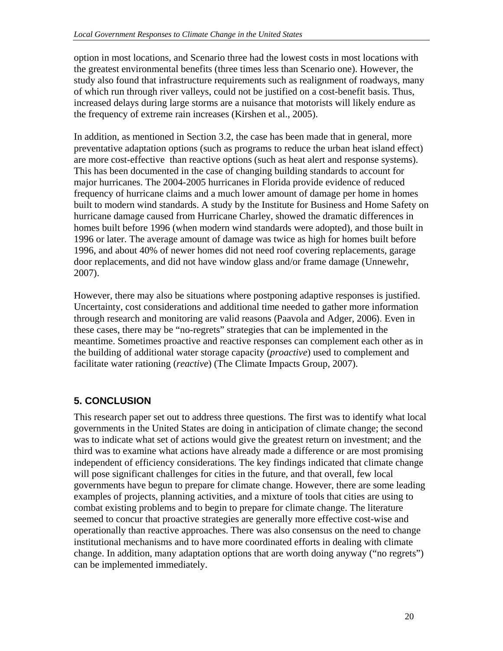option in most locations, and Scenario three had the lowest costs in most locations with the greatest environmental benefits (three times less than Scenario one). However, the study also found that infrastructure requirements such as realignment of roadways, many of which run through river valleys, could not be justified on a cost-benefit basis. Thus, increased delays during large storms are a nuisance that motorists will likely endure as the frequency of extreme rain increases (Kirshen et al., 2005).

In addition, as mentioned in Section 3.2, the case has been made that in general, more preventative adaptation options (such as programs to reduce the urban heat island effect) are more cost-effective than reactive options (such as heat alert and response systems). This has been documented in the case of changing building standards to account for major hurricanes. The 2004-2005 hurricanes in Florida provide evidence of reduced frequency of hurricane claims and a much lower amount of damage per home in homes built to modern wind standards. A study by the Institute for Business and Home Safety on hurricane damage caused from Hurricane Charley, showed the dramatic differences in homes built before 1996 (when modern wind standards were adopted), and those built in 1996 or later. The average amount of damage was twice as high for homes built before 1996, and about 40% of newer homes did not need roof covering replacements, garage door replacements, and did not have window glass and/or frame damage (Unnewehr, 2007).

However, there may also be situations where postponing adaptive responses is justified. Uncertainty, cost considerations and additional time needed to gather more information through research and monitoring are valid reasons (Paavola and Adger, 2006). Even in these cases, there may be "no-regrets" strategies that can be implemented in the meantime. Sometimes proactive and reactive responses can complement each other as in the building of additional water storage capacity (*proactive*) used to complement and facilitate water rationing (*reactive*) (The Climate Impacts Group, 2007).

# **5. CONCLUSION**

This research paper set out to address three questions. The first was to identify what local governments in the United States are doing in anticipation of climate change; the second was to indicate what set of actions would give the greatest return on investment; and the third was to examine what actions have already made a difference or are most promising independent of efficiency considerations. The key findings indicated that climate change will pose significant challenges for cities in the future, and that overall, few local governments have begun to prepare for climate change. However, there are some leading examples of projects, planning activities, and a mixture of tools that cities are using to combat existing problems and to begin to prepare for climate change. The literature seemed to concur that proactive strategies are generally more effective cost-wise and operationally than reactive approaches. There was also consensus on the need to change institutional mechanisms and to have more coordinated efforts in dealing with climate change. In addition, many adaptation options that are worth doing anyway ("no regrets") can be implemented immediately.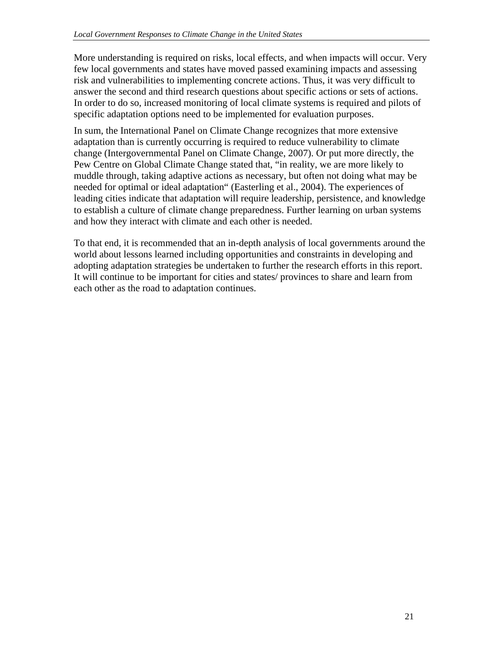More understanding is required on risks, local effects, and when impacts will occur. Very few local governments and states have moved passed examining impacts and assessing risk and vulnerabilities to implementing concrete actions. Thus, it was very difficult to answer the second and third research questions about specific actions or sets of actions. In order to do so, increased monitoring of local climate systems is required and pilots of specific adaptation options need to be implemented for evaluation purposes.

In sum, the International Panel on Climate Change recognizes that more extensive adaptation than is currently occurring is required to reduce vulnerability to climate change (Intergovernmental Panel on Climate Change, 2007). Or put more directly, the Pew Centre on Global Climate Change stated that, "in reality, we are more likely to muddle through, taking adaptive actions as necessary, but often not doing what may be needed for optimal or ideal adaptation" (Easterling et al., 2004). The experiences of leading cities indicate that adaptation will require leadership, persistence, and knowledge to establish a culture of climate change preparedness. Further learning on urban systems and how they interact with climate and each other is needed.

To that end, it is recommended that an in-depth analysis of local governments around the world about lessons learned including opportunities and constraints in developing and adopting adaptation strategies be undertaken to further the research efforts in this report. It will continue to be important for cities and states/ provinces to share and learn from each other as the road to adaptation continues.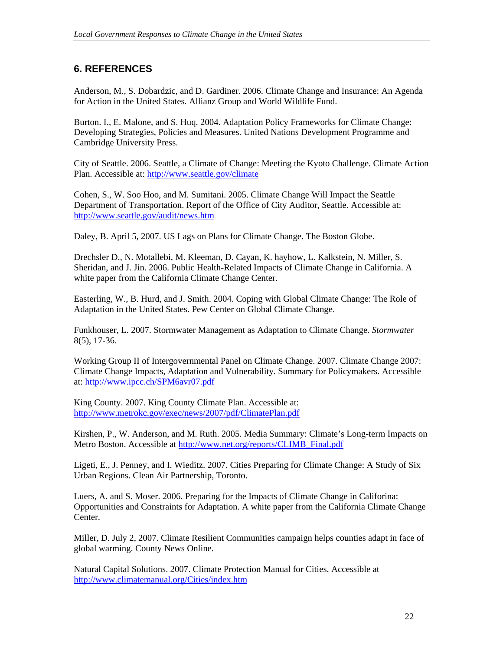# **6. REFERENCES**

Anderson, M., S. Dobardzic, and D. Gardiner. 2006. Climate Change and Insurance: An Agenda for Action in the United States. Allianz Group and World Wildlife Fund.

Burton. I., E. Malone, and S. Huq. 2004. Adaptation Policy Frameworks for Climate Change: Developing Strategies, Policies and Measures. United Nations Development Programme and Cambridge University Press.

City of Seattle. 2006. Seattle, a Climate of Change: Meeting the Kyoto Challenge. Climate Action Plan. Accessible at: http://www.seattle.gov/climate

Cohen, S., W. Soo Hoo, and M. Sumitani. 2005. Climate Change Will Impact the Seattle Department of Transportation. Report of the Office of City Auditor, Seattle. Accessible at: http://www.seattle.gov/audit/news.htm

Daley, B. April 5, 2007. US Lags on Plans for Climate Change. The Boston Globe.

Drechsler D., N. Motallebi, M. Kleeman, D. Cayan, K. hayhow, L. Kalkstein, N. Miller, S. Sheridan, and J. Jin. 2006. Public Health-Related Impacts of Climate Change in California. A white paper from the California Climate Change Center.

Easterling, W., B. Hurd, and J. Smith. 2004. Coping with Global Climate Change: The Role of Adaptation in the United States. Pew Center on Global Climate Change.

Funkhouser, L. 2007. Stormwater Management as Adaptation to Climate Change. *Stormwater*  8(5), 17-36.

Working Group II of Intergovernmental Panel on Climate Change. 2007. Climate Change 2007: Climate Change Impacts, Adaptation and Vulnerability. Summary for Policymakers. Accessible at: http://www.ipcc.ch/SPM6avr07.pdf

King County. 2007. King County Climate Plan. Accessible at: http://www.metrokc.gov/exec/news/2007/pdf/ClimatePlan.pdf

Kirshen, P., W. Anderson, and M. Ruth. 2005. Media Summary: Climate's Long-term Impacts on Metro Boston. Accessible at http://www.net.org/reports/CLIMB\_Final.pdf

Ligeti, E., J. Penney, and I. Wieditz. 2007. Cities Preparing for Climate Change: A Study of Six Urban Regions. Clean Air Partnership, Toronto.

Luers, A. and S. Moser. 2006. Preparing for the Impacts of Climate Change in Califorina: Opportunities and Constraints for Adaptation. A white paper from the California Climate Change Center.

Miller, D. July 2, 2007. Climate Resilient Communities campaign helps counties adapt in face of global warming. County News Online.

Natural Capital Solutions. 2007. Climate Protection Manual for Cities. Accessible at http://www.climatemanual.org/Cities/index.htm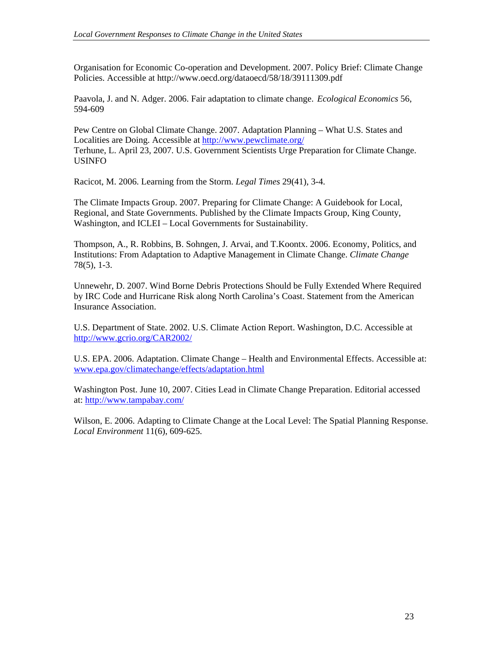Organisation for Economic Co-operation and Development. 2007. Policy Brief: Climate Change Policies. Accessible at http://www.oecd.org/dataoecd/58/18/39111309.pdf

Paavola, J. and N. Adger. 2006. Fair adaptation to climate change. *Ecological Economics* 56, 594-609

Pew Centre on Global Climate Change. 2007. Adaptation Planning – What U.S. States and Localities are Doing. Accessible at http://www.pewclimate.org/ Terhune, L. April 23, 2007. U.S. Government Scientists Urge Preparation for Climate Change. USINFO

Racicot, M. 2006. Learning from the Storm. *Legal Times* 29(41), 3-4.

The Climate Impacts Group. 2007. Preparing for Climate Change: A Guidebook for Local, Regional, and State Governments. Published by the Climate Impacts Group, King County, Washington, and ICLEI – Local Governments for Sustainability.

Thompson, A., R. Robbins, B. Sohngen, J. Arvai, and T.Koontx. 2006. Economy, Politics, and Institutions: From Adaptation to Adaptive Management in Climate Change. *Climate Change* 78(5), 1-3.

Unnewehr, D. 2007. Wind Borne Debris Protections Should be Fully Extended Where Required by IRC Code and Hurricane Risk along North Carolina's Coast. Statement from the American Insurance Association.

U.S. Department of State. 2002. U.S. Climate Action Report. Washington, D.C. Accessible at http://www.gcrio.org/CAR2002/

U.S. EPA. 2006. Adaptation. Climate Change – Health and Environmental Effects. Accessible at: www.epa.gov/climatechange/effects/adaptation.html

Washington Post. June 10, 2007. Cities Lead in Climate Change Preparation. Editorial accessed at: http://www.tampabay.com/

Wilson, E. 2006. Adapting to Climate Change at the Local Level: The Spatial Planning Response. *Local Environment* 11(6), 609-625.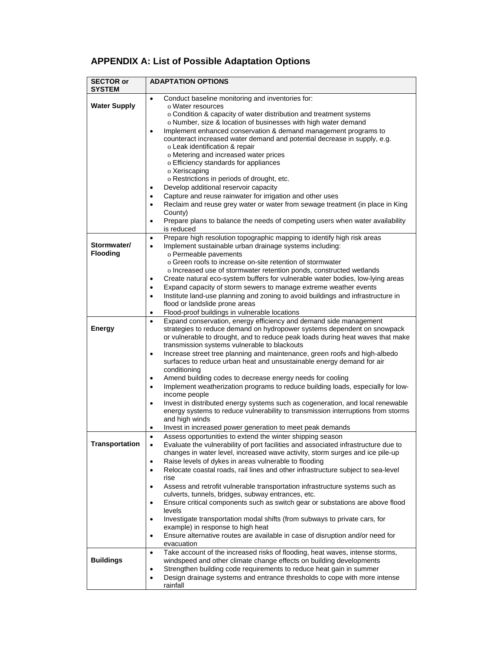# **APPENDIX A: List of Possible Adaptation Options**

| <b>SECTOR or</b><br><b>SYSTEM</b> | <b>ADAPTATION OPTIONS</b>                                                                                                                                          |
|-----------------------------------|--------------------------------------------------------------------------------------------------------------------------------------------------------------------|
|                                   | Conduct baseline monitoring and inventories for:<br>$\bullet$                                                                                                      |
| <b>Water Supply</b>               | o Water resources<br>o Condition & capacity of water distribution and treatment systems                                                                            |
|                                   | o Number, size & location of businesses with high water demand                                                                                                     |
|                                   | Implement enhanced conservation & demand management programs to<br>$\bullet$                                                                                       |
|                                   | counteract increased water demand and potential decrease in supply, e.g.                                                                                           |
|                                   | o Leak identification & repair<br>o Metering and increased water prices                                                                                            |
|                                   | o Efficiency standards for appliances                                                                                                                              |
|                                   | o Xeriscaping                                                                                                                                                      |
|                                   | o Restrictions in periods of drought, etc.                                                                                                                         |
|                                   | Develop additional reservoir capacity<br>٠                                                                                                                         |
|                                   | Capture and reuse rainwater for irrigation and other uses<br>$\bullet$<br>Reclaim and reuse grey water or water from sewage treatment (in place in King<br>٠       |
|                                   | County)                                                                                                                                                            |
|                                   | Prepare plans to balance the needs of competing users when water availability<br>٠                                                                                 |
|                                   | is reduced                                                                                                                                                         |
| Stormwater/                       | Prepare high resolution topographic mapping to identify high risk areas<br>٠                                                                                       |
| <b>Flooding</b>                   | Implement sustainable urban drainage systems including:<br>$\bullet$<br>o Permeable pavements                                                                      |
|                                   | o Green roofs to increase on-site retention of stormwater                                                                                                          |
|                                   | o Increased use of stormwater retention ponds, constructed wetlands                                                                                                |
|                                   | Create natural eco-system buffers for vulnerable water bodies, low-lying areas<br>$\bullet$                                                                        |
|                                   | Expand capacity of storm sewers to manage extreme weather events<br>٠                                                                                              |
|                                   | Institute land-use planning and zoning to avoid buildings and infrastructure in<br>$\bullet$<br>flood or landslide prone areas                                     |
|                                   | Flood-proof buildings in vulnerable locations<br>$\bullet$                                                                                                         |
|                                   | Expand conservation, energy efficiency and demand side management<br>$\bullet$                                                                                     |
| <b>Energy</b>                     | strategies to reduce demand on hydropower systems dependent on snowpack                                                                                            |
|                                   | or vulnerable to drought, and to reduce peak loads during heat waves that make<br>transmission systems vulnerable to blackouts                                     |
|                                   | Increase street tree planning and maintenance, green roofs and high-albedo<br>$\bullet$                                                                            |
|                                   | surfaces to reduce urban heat and unsustainable energy demand for air                                                                                              |
|                                   | conditioning                                                                                                                                                       |
|                                   | Amend building codes to decrease energy needs for cooling<br>٠                                                                                                     |
|                                   | Implement weatherization programs to reduce building loads, especially for low-<br>$\bullet$<br>income people                                                      |
|                                   | Invest in distributed energy systems such as cogeneration, and local renewable<br>٠                                                                                |
|                                   | energy systems to reduce vulnerability to transmission interruptions from storms                                                                                   |
|                                   | and high winds                                                                                                                                                     |
|                                   | Invest in increased power generation to meet peak demands<br>٠<br>Assess opportunities to extend the winter shipping season<br>$\bullet$                           |
| rransportation                    | Evaluate the vulnerability of port facilities and associated infrastructure due to                                                                                 |
|                                   | changes in water level, increased wave activity, storm surges and ice pile-up                                                                                      |
|                                   | Raise levels of dykes in areas vulnerable to flooding<br>$\bullet$                                                                                                 |
|                                   | Relocate coastal roads, rail lines and other infrastructure subject to sea-level<br>٠<br>rise                                                                      |
|                                   | Assess and retrofit vulnerable transportation infrastructure systems such as<br>٠                                                                                  |
|                                   | culverts, tunnels, bridges, subway entrances, etc.                                                                                                                 |
|                                   | Ensure critical components such as switch gear or substations are above flood<br>٠                                                                                 |
|                                   | levels                                                                                                                                                             |
|                                   | Investigate transportation modal shifts (from subways to private cars, for<br>$\bullet$<br>example) in response to high heat                                       |
|                                   | Ensure alternative routes are available in case of disruption and/or need for<br>٠                                                                                 |
|                                   | evacuation                                                                                                                                                         |
|                                   | Take account of the increased risks of flooding, heat waves, intense storms,<br>$\bullet$                                                                          |
| <b>Buildings</b>                  | windspeed and other climate change effects on building developments                                                                                                |
|                                   | Strengthen building code requirements to reduce heat gain in summer<br>٠<br>Design drainage systems and entrance thresholds to cope with more intense<br>$\bullet$ |
|                                   | rainfall                                                                                                                                                           |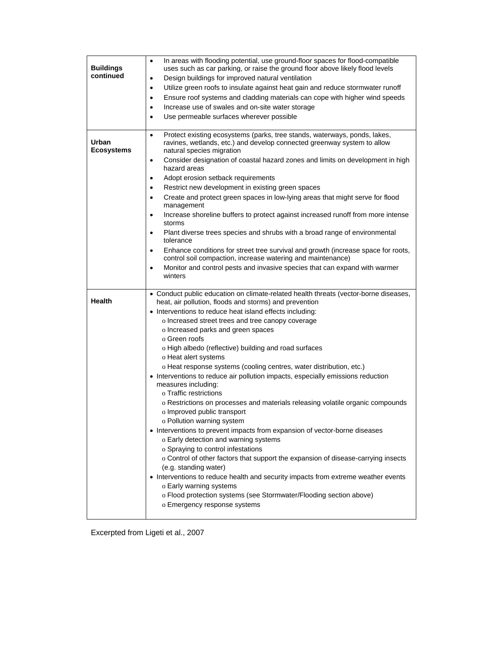| <b>Buildings</b><br>continued | In areas with flooding potential, use ground-floor spaces for flood-compatible<br>$\bullet$<br>uses such as car parking, or raise the ground floor above likely flood levels<br>Design buildings for improved natural ventilation<br>$\bullet$<br>Utilize green roofs to insulate against heat gain and reduce stormwater runoff<br>$\bullet$<br>Ensure roof systems and cladding materials can cope with higher wind speeds<br>$\bullet$<br>Increase use of swales and on-site water storage<br>٠<br>Use permeable surfaces wherever possible<br>$\bullet$                                                                                                                                                                                                                                                                                                                                                                                                                                                                                                                                                                                                                                                                                                        |
|-------------------------------|--------------------------------------------------------------------------------------------------------------------------------------------------------------------------------------------------------------------------------------------------------------------------------------------------------------------------------------------------------------------------------------------------------------------------------------------------------------------------------------------------------------------------------------------------------------------------------------------------------------------------------------------------------------------------------------------------------------------------------------------------------------------------------------------------------------------------------------------------------------------------------------------------------------------------------------------------------------------------------------------------------------------------------------------------------------------------------------------------------------------------------------------------------------------------------------------------------------------------------------------------------------------|
| Urban<br><b>Ecosystems</b>    | Protect existing ecosystems (parks, tree stands, waterways, ponds, lakes,<br>$\bullet$<br>ravines, wetlands, etc.) and develop connected greenway system to allow<br>natural species migration<br>Consider designation of coastal hazard zones and limits on development in high<br>$\bullet$<br>hazard areas<br>Adopt erosion setback requirements<br>$\bullet$<br>Restrict new development in existing green spaces<br>$\bullet$<br>Create and protect green spaces in low-lying areas that might serve for flood<br>management<br>Increase shoreline buffers to protect against increased runoff from more intense<br>$\bullet$<br>storms<br>Plant diverse trees species and shrubs with a broad range of environmental<br>٠<br>tolerance<br>Enhance conditions for street tree survival and growth (increase space for roots,<br>$\bullet$<br>control soil compaction, increase watering and maintenance)<br>Monitor and control pests and invasive species that can expand with warmer<br>$\bullet$<br>winters                                                                                                                                                                                                                                                |
| <b>Health</b>                 | • Conduct public education on climate-related health threats (vector-borne diseases,<br>heat, air pollution, floods and storms) and prevention<br>• Interventions to reduce heat island effects including:<br>o Increased street trees and tree canopy coverage<br>o Increased parks and green spaces<br>o Green roofs<br>o High albedo (reflective) building and road surfaces<br>o Heat alert systems<br>o Heat response systems (cooling centres, water distribution, etc.)<br>• Interventions to reduce air pollution impacts, especially emissions reduction<br>measures including:<br>o Traffic restrictions<br>o Restrictions on processes and materials releasing volatile organic compounds<br>o Improved public transport<br>o Pollution warning system<br>• Interventions to prevent impacts from expansion of vector-borne diseases<br>o Early detection and warning systems<br>o Spraying to control infestations<br>o Control of other factors that support the expansion of disease-carrying insects<br>(e.g. standing water)<br>• Interventions to reduce health and security impacts from extreme weather events<br>o Early warning systems<br>o Flood protection systems (see Stormwater/Flooding section above)<br>o Emergency response systems |

Excerpted from Ligeti et al., 2007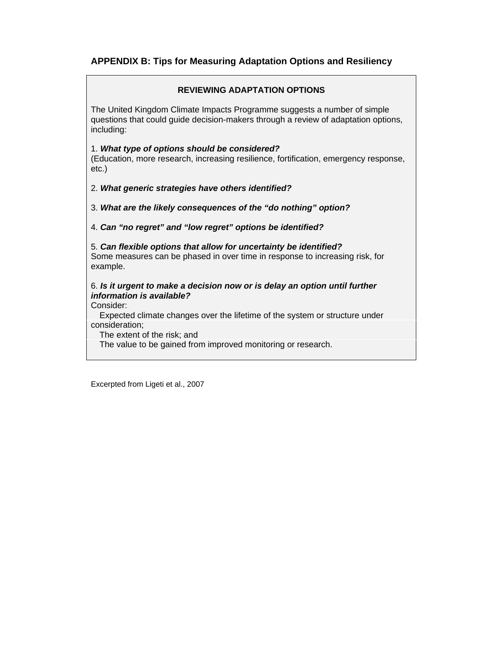### **APPENDIX B: Tips for Measuring Adaptation Options and Resiliency**

#### **REVIEWING ADAPTATION OPTIONS**

The United Kingdom Climate Impacts Programme suggests a number of simple questions that could guide decision-makers through a review of adaptation options, including:

#### 1. *What type of options should be considered?*

(Education, more research, increasing resilience, fortification, emergency response, etc.)

2. *What generic strategies have others identified?* 

3. *What are the likely consequences of the "do nothing" option?* 

#### 4. *Can "no regret" and "low regret" options be identified?*

5. *Can flexible options that allow for uncertainty be identified?*  Some measures can be phased in over time in response to increasing risk, for example.

#### 6. *Is it urgent to make a decision now or is delay an option until further information is available?*

Consider:

 Expected climate changes over the lifetime of the system or structure under consideration;

The extent of the risk; and

The value to be gained from improved monitoring or research.

Excerpted from Ligeti et al., 2007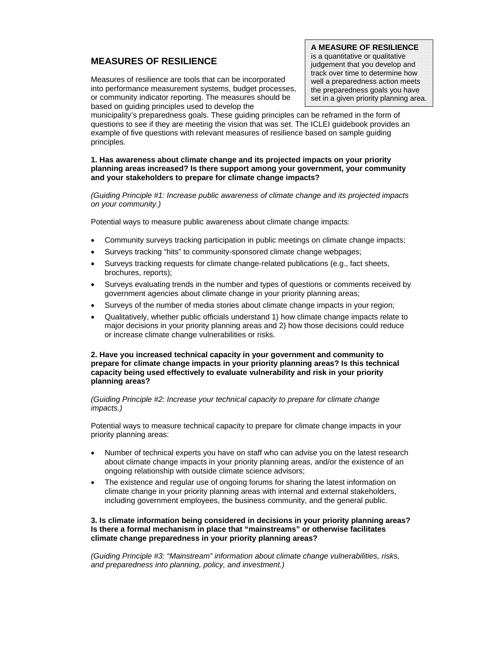#### **MEASURES OF RESILIENCE**

Measures of resilience are tools that can be incorporated into performance measurement systems, budget processes, or community indicator reporting. The measures should be based on guiding principles used to develop the

**A MEASURE OF RESILIENCE** is a quantitative or qualitative judgement that you develop and track over time to determine how well a preparedness action meets the preparedness goals you have set in a given priority planning area.

municipality's preparedness goals. These guiding principles can be reframed in the form of questions to see if they are meeting the vision that was set. The ICLEI guidebook provides an example of five questions with relevant measures of resilience based on sample guiding principles.

#### **1. Has awareness about climate change and its projected impacts on your priority planning areas increased? Is there support among your government, your community and your stakeholders to prepare for climate change impacts?**

*(Guiding Principle #1: Increase public awareness of climate change and its projected impacts on your community.)* 

Potential ways to measure public awareness about climate change impacts:

- Community surveys tracking participation in public meetings on climate change impacts;
- Surveys tracking "hits" to community-sponsored climate change webpages;
- Surveys tracking requests for climate change-related publications (e.g., fact sheets, brochures, reports);
- Surveys evaluating trends in the number and types of questions or comments received by government agencies about climate change in your priority planning areas;
- Surveys of the number of media stories about climate change impacts in your region;
- Qualitatively, whether public officials understand 1) how climate change impacts relate to major decisions in your priority planning areas and 2) how those decisions could reduce or increase climate change vulnerabilities or risks.

#### **2. Have you increased technical capacity in your government and community to prepare for climate change impacts in your priority planning areas? Is this technical capacity being used effectively to evaluate vulnerability and risk in your priority planning areas?**

*(Guiding Principle #2: Increase your technical capacity to prepare for climate change impacts.)* 

Potential ways to measure technical capacity to prepare for climate change impacts in your priority planning areas:

- Number of technical experts you have on staff who can advise you on the latest research about climate change impacts in your priority planning areas, and/or the existence of an ongoing relationship with outside climate science advisors;
- The existence and regular use of ongoing forums for sharing the latest information on climate change in your priority planning areas with internal and external stakeholders, including government employees, the business community, and the general public.

#### **3. Is climate information being considered in decisions in your priority planning areas? Is there a formal mechanism in place that "mainstreams" or otherwise facilitates climate change preparedness in your priority planning areas?**

*(Guiding Principle #3: "Mainstream" information about climate change vulnerabilities, risks, and preparedness into planning, policy, and investment.)*